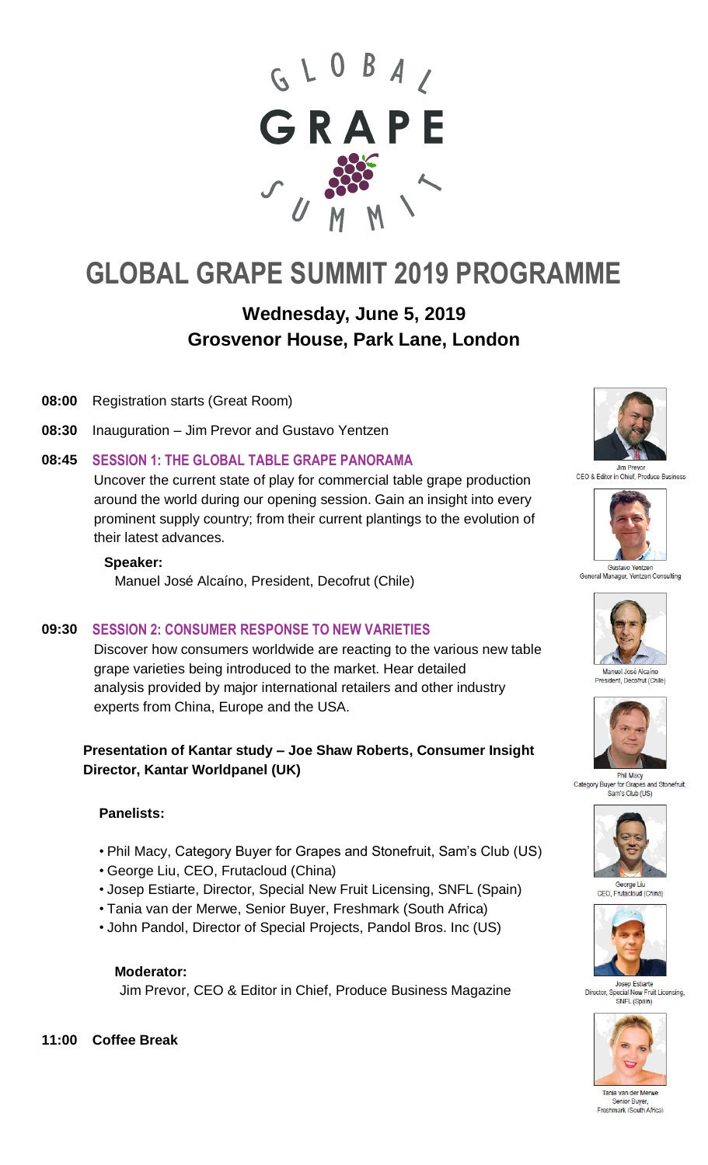

# **GLOBAL GRAPE SUMMIT 2019 PROGRAMME**

# **Wednesday, June 5, 2019 Grosvenor House, Park Lane, London**

- **08:00** Registration starts (Great Room)
- **08:30** Inauguration Jim Prevor and Gustavo Yentzen
- **08:45 SESSION 1: THE GLOBAL TABLE GRAPE PANORAMA**

Uncover the current state of play for commercial table grape production around the world during our opening session. Gain an insight into every prominent supply country; from their current plantings to the evolution of their latest advances.

#### **Speaker:**

Manuel José Alcaíno, President, Decofrut (Chile)

#### **09:30 SESSION 2: CONSUMER RESPONSE TO NEW VARIETIES**

Discover how consumers worldwide are reacting to the various new table grape varieties being introduced to the market. Hear detailed analysis provided by major international retailers and other industry experts from China, Europe and the USA.

# **Presentation of Kantar study – Joe Shaw Roberts, Consumer Insight Director, Kantar Worldpanel (UK)**

#### **Panelists:**

- Phil Macy, Category Buyer for Grapes and Stonefruit, Sam's Club (US)
- George Liu, CEO, Frutacloud (China)
- Josep Estiarte, Director, Special New Fruit Licensing, SNFL (Spain)
- Tania van der Merwe, Senior Buyer, Freshmark (South Africa)
- John Pandol, Director of Special Projects, Pandol Bros. Inc (US)

#### **Moderator:**

Jim Prevor, CEO & Editor in Chief, Produce Business Magazine





CEO & Editor in Chief. Produce Business



Gustavo Yentzen<br>General Manager, Yentzen Consulting



resident, Decofrut (Chile)



Phil Macy Category Buyer for Grape and Stonefruit Sam's Club (US)



George Liu<br>CEO, Frutacloud (China)



Josep Estiarte Director, Special New Fruit Licensing, SNFL (Spain)



Tania van der Merwe nior Buy Freshmark (South Africa)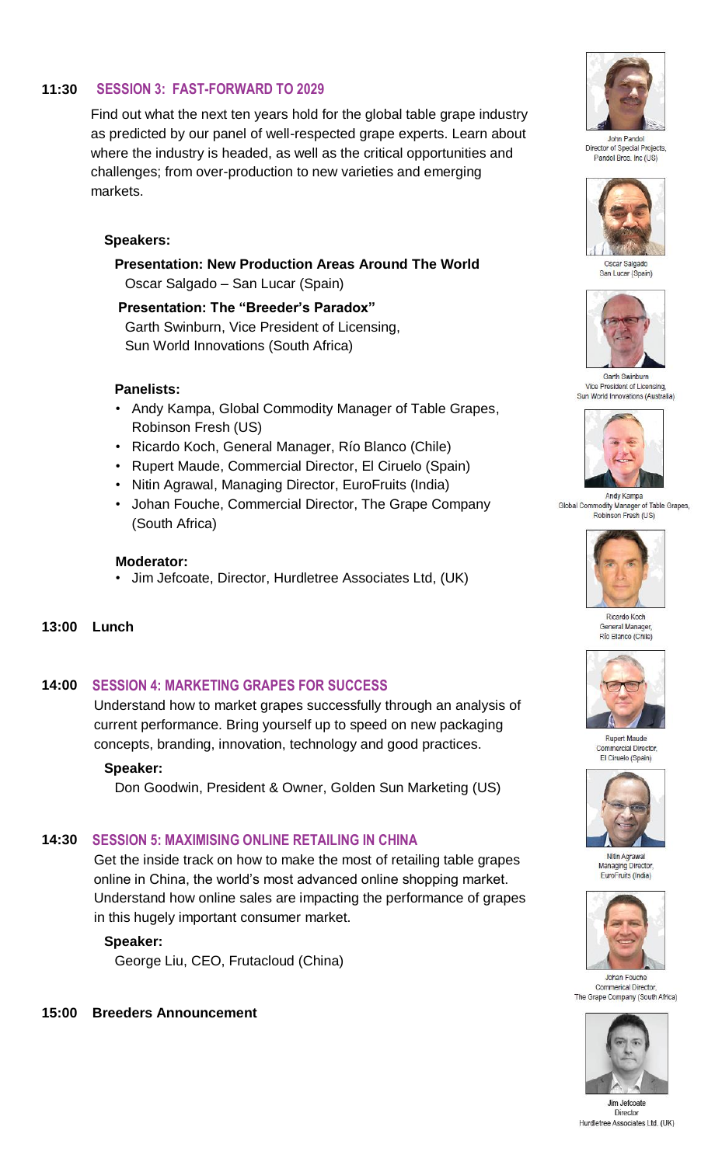# **11:30 SESSION 3: FAST-FORWARD TO 2029**

Find out what the next ten years hold for the global table grape industry as predicted by our panel of well-respected grape experts. Learn about where the industry is headed, as well as the critical opportunities and challenges; from over-production to new varieties and emerging markets.

# **Speakers:**

**Presentation: New Production Areas Around The World**  Oscar Salgado – San Lucar (Spain)

 **Presentation: The "Breeder's Paradox"** Garth Swinburn, Vice President of Licensing, Sun World Innovations (South Africa)

#### **Panelists:**

- Andy Kampa, Global Commodity Manager of Table Grapes, Robinson Fresh (US)
- Ricardo Koch, General Manager, Río Blanco (Chile)
- Rupert Maude, Commercial Director, El Ciruelo (Spain)
- Nitin Agrawal, Managing Director, EuroFruits (India)
- Johan Fouche, Commercial Director, The Grape Company (South Africa)

#### **Moderator:**

- Jim Jefcoate, Director, Hurdletree Associates Ltd, (UK)
- **13:00 Lunch**

# **14:00 SESSION 4: MARKETING GRAPES FOR SUCCESS**

Understand how to market grapes successfully through an analysis of current performance. Bring yourself up to speed on new packaging concepts, branding, innovation, technology and good practices.

#### **Speaker:**

Don Goodwin, President & Owner, Golden Sun Marketing (US)

# **14:30 SESSION 5: MAXIMISING ONLINE RETAILING IN CHINA**

Get the inside track on how to make the most of retailing table grapes online in China, the world's most advanced online shopping market. Understand how online sales are impacting the performance of grapes in this hugely important consumer market.

# **Speaker:**

George Liu, CEO, Frutacloud (China)

#### **15:00 Breeders Announcement**



John Pandol Director of Special Pr Pandol Bros Inc (US)



San Lucar (Spain)



Vice President of Licensing, Sun World Innovations (Australia)



Andy Kampa Global Commodity Manager of Table Grapes, Robinson Fresh (US)



Ricardo Koch General Manage Río Blanco (Chile)



Rupert Maude  $Comn$ ercial Director El Ciruelo (Spain)



Nitin Agrawal Managing Director, EuroFruits (India)



Johan Fouche **Commerical Director** The Grape Company (South Africa)



Jim Jefcoate Director Hurdletree Associates Ltd. (UK)